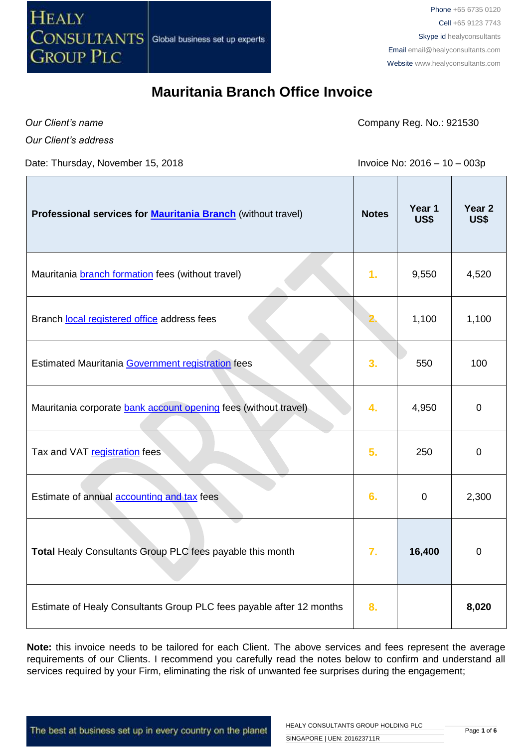

*Our Client's name*

Company Reg. No.: 921530

*Our Client's address*

Date: Thursday, November 15, 2018 **Invoice No: 2016** - 10 - 003p

| Professional services for <b>Mauritania Branch</b> (without travel)  | <b>Notes</b> | Year 1<br>US\$ | Year <sub>2</sub><br>US\$ |
|----------------------------------------------------------------------|--------------|----------------|---------------------------|
| Mauritania <b>branch formation</b> fees (without travel)             | 1.           | 9,550          | 4,520                     |
| Branch local registered office address fees                          |              | 1,100          | 1,100                     |
| Estimated Mauritania Government registration fees                    | 3.           | 550            | 100                       |
| Mauritania corporate bank account opening fees (without travel)      | 4.           | 4,950          | $\mathbf 0$               |
| Tax and VAT registration fees                                        | 5.           | 250            | $\mathbf 0$               |
| Estimate of annual accounting and tax fees                           | 6.           | $\mathbf 0$    | 2,300                     |
| Total Healy Consultants Group PLC fees payable this month            | 7.           | 16,400         | $\pmb{0}$                 |
| Estimate of Healy Consultants Group PLC fees payable after 12 months | 8.           |                | 8,020                     |

**Note:** this invoice needs to be tailored for each Client. The above services and fees represent the average requirements of our Clients. I recommend you carefully read the notes below to confirm and understand all services required by your Firm, eliminating the risk of unwanted fee surprises during the engagement;

The best at business set up in every country on the planet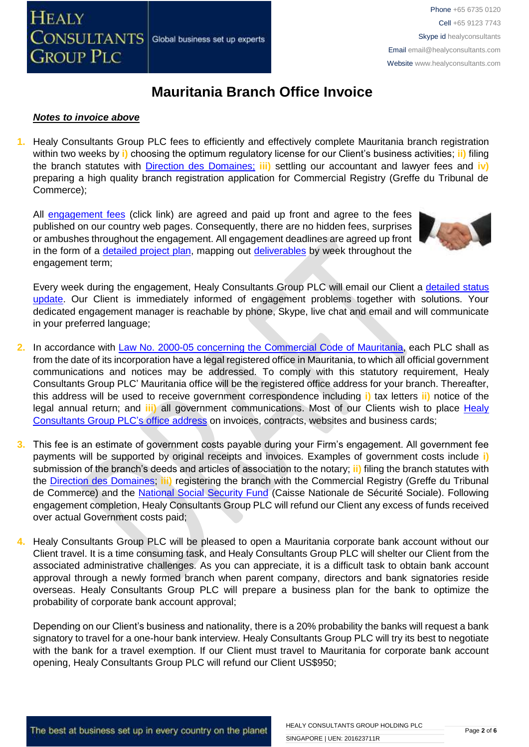

### *Notes to invoice above*

**1.** Healy Consultants Group PLC fees to efficiently and effectively complete Mauritania branch registration within two weeks by **i)** choosing the optimum regulatory license for our Client's business activities; **ii)** filing the branch statutes with [Direction des Domaines;](http://www.finances.gov.mr/) **iii)** settling our accountant and lawyer fees and **iv)** preparing a high quality branch registration application for Commercial Registry (Greffe du Tribunal de Commerce);

All [engagement fees](http://www.healyconsultants.com/company-registration-fees/) (click link) are agreed and paid up front and agree to the fees published on our country web pages. Consequently, there are no hidden fees, surprises or ambushes throughout the engagement. All engagement deadlines are agreed up front in the form of a [detailed project plan,](http://www.healyconsultants.com/index-important-links/example-project-plan/) mapping out [deliverables](http://www.healyconsultants.com/deliverables-to-our-clients/) by week throughout the engagement term;



Every week during the engagement, Healy Consultants Group PLC will email our Client a [detailed status](http://www.healyconsultants.com/index-important-links/weekly-engagement-status-email/)  [update.](http://www.healyconsultants.com/index-important-links/weekly-engagement-status-email/) Our Client is immediately informed of engagement problems together with solutions. Your dedicated engagement manager is reachable by phone, Skype, live chat and email and will communicate in your preferred language;

- **2.** In accordance with [Law No. 2000-05 concerning the Commercial Code](http://www.wipo.int/wipolex/fr/text.jsp?file_id=236577#LinkTarget_7738) of Mauritania, each PLC shall as from the date of its incorporation have a legal registered office in Mauritania, to which all official government communications and notices may be addressed. To comply with this statutory requirement, Healy Consultants Group PLC' Mauritania office will be the registered office address for your branch. Thereafter, this address will be used to receive government correspondence including **i)** tax letters **ii)** notice of the legal annual return; and **iii)** all government communications. Most of our Clients wish to place [Healy](http://www.healyconsultants.com/corporate-outsourcing-services/company-secretary-and-legal-registered-office/)  [Consultants Group PLC's](http://www.healyconsultants.com/corporate-outsourcing-services/company-secretary-and-legal-registered-office/) office address on invoices, contracts, websites and business cards;
- **3.** This fee is an estimate of government costs payable during your Firm's engagement. All government fee payments will be supported by original receipts and invoices. Examples of government costs include **i)** submission of the branch's deeds and articles of association to the notary; **ii)** filing the branch statutes with the [Direction des Domaines;](http://www.finances.gov.mr/) **iii)** registering the branch with the Commercial Registry (Greffe du Tribunal de Commerce) and the [National Social Security Fund](http://www.cnss.mr/) (Caisse Nationale de Sécurité Sociale). Following engagement completion, Healy Consultants Group PLC will refund our Client any excess of funds received over actual Government costs paid;
- **4.** Healy Consultants Group PLC will be pleased to open a Mauritania corporate bank account without our Client travel. It is a time consuming task, and Healy Consultants Group PLC will shelter our Client from the associated administrative challenges. As you can appreciate, it is a difficult task to obtain bank account approval through a newly formed branch when parent company, directors and bank signatories reside overseas. Healy Consultants Group PLC will prepare a business plan for the bank to optimize the probability of corporate bank account approval;

Depending on our Client's business and nationality, there is a 20% probability the banks will request a bank signatory to travel for a one-hour bank interview. Healy Consultants Group PLC will try its best to negotiate with the bank for a travel exemption. If our Client must travel to Mauritania for corporate bank account opening, Healy Consultants Group PLC will refund our Client US\$950;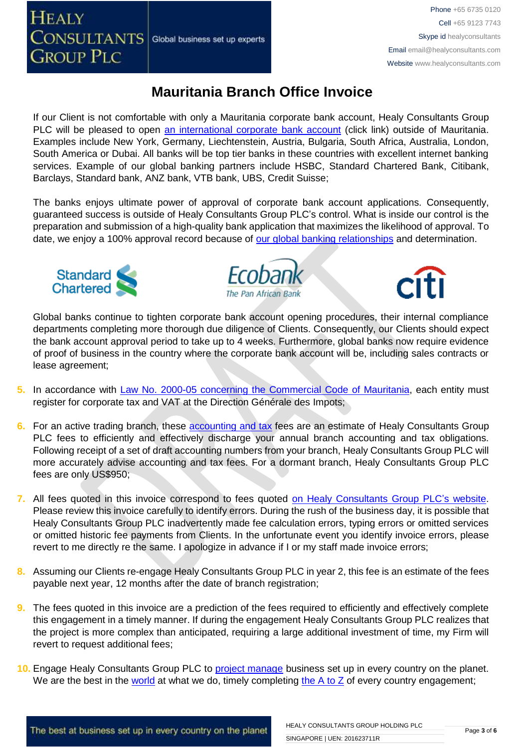Phone +65 6735 0120 Cell +65 9123 7743 Skype id healyconsultants Email [email@healyconsultants.com](mailto:EMAIL@HEALYCONSULTANTS.COM) Website [www.healyconsultants.com](http://www.healyconsultants.com/)

# **Mauritania Branch Office Invoice**

If our Client is not comfortable with only a Mauritania corporate bank account, Healy Consultants Group PLC will be pleased to open [an international corporate bank account](http://www.healyconsultants.com/international-banking/) (click link) outside of Mauritania. Examples include New York, Germany, Liechtenstein, Austria, Bulgaria, South Africa, Australia, London, South America or Dubai. All banks will be top tier banks in these countries with excellent internet banking services. Example of our global banking partners include HSBC, Standard Chartered Bank, Citibank, Barclays, Standard bank, ANZ bank, VTB bank, UBS, Credit Suisse;

The banks enjoys ultimate power of approval of corporate bank account applications. Consequently, guaranteed success is outside of Healy Consultants Group PLC's control. What is inside our control is the preparation and submission of a high-quality bank application that maximizes the likelihood of approval. To date, we enjoy a 100% approval record because of [our global banking relationships](http://www.healyconsultants.com/international-banking/corporate-accounts/) and determination.



**HEALY** 

**GROUP PLC** 





Global banks continue to tighten corporate bank account opening procedures, their internal compliance departments completing more thorough due diligence of Clients. Consequently, our Clients should expect the bank account approval period to take up to 4 weeks. Furthermore, global banks now require evidence of proof of business in the country where the corporate bank account will be, including sales contracts or lease agreement;

- 5. In accordance with [Law No. 2000-05 concerning the Commercial Code](http://www.wipo.int/wipolex/fr/text.jsp?file_id=236577#LinkTarget_7738) of Mauritania, each entity must register for corporate tax and VAT at the Direction Générale des Impots;
- **6.** For an active trading branch, these **accounting and tax** fees are an estimate of Healy Consultants Group PLC fees to efficiently and effectively discharge your annual branch accounting and tax obligations. Following receipt of a set of draft accounting numbers from your branch, Healy Consultants Group PLC will more accurately advise accounting and tax fees. For a dormant branch, Healy Consultants Group PLC fees are only US\$950;
- **7.** All fees quoted in this invoice correspond to fees quoted [on Healy Consultants Group PLC's](http://www.healyconsultants.com/company-registration-fees/) website. Please review this invoice carefully to identify errors. During the rush of the business day, it is possible that Healy Consultants Group PLC inadvertently made fee calculation errors, typing errors or omitted services or omitted historic fee payments from Clients. In the unfortunate event you identify invoice errors, please revert to me directly re the same. I apologize in advance if I or my staff made invoice errors;
- **8.** Assuming our Clients re-engage Healy Consultants Group PLC in year 2, this fee is an estimate of the fees payable next year, 12 months after the date of branch registration;
- **9.** The fees quoted in this invoice are a prediction of the fees required to efficiently and effectively complete this engagement in a timely manner. If during the engagement Healy Consultants Group PLC realizes that the project is more complex than anticipated, requiring a large additional investment of time, my Firm will revert to request additional fees;
- **10.** Engage Healy Consultants Group PLC to [project manage](http://www.healyconsultants.com/project-manage-engagements/) business set up in every country on the planet. We are the best in the [world](http://www.healyconsultants.com/best-in-the-world/) at what we do, timely completing the  $A$  to  $Z$  of every country engagement;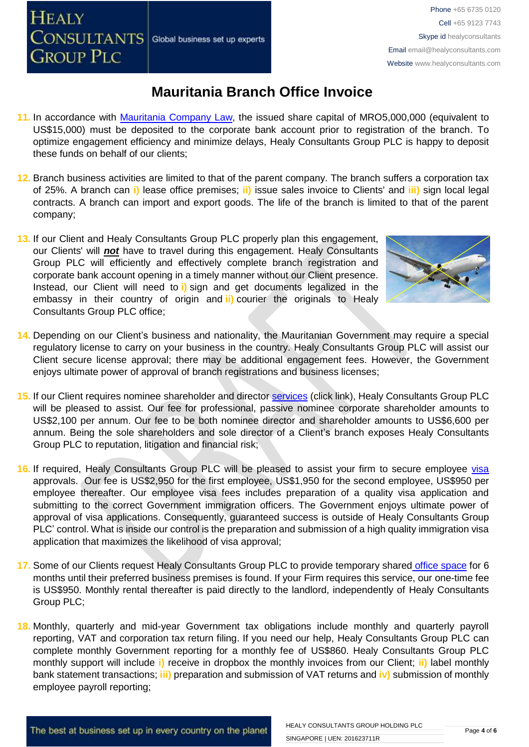- **11.** In accordance with [Mauritania](http://www.wipo.int/wipolex/fr/text.jsp?file_id=236577#LinkTarget_7738) Company Law, the issued share capital of MRO5,000,000 (equivalent to US\$15,000) must be deposited to the corporate bank account prior to registration of the branch. To optimize engagement efficiency and minimize delays, Healy Consultants Group PLC is happy to deposit these funds on behalf of our clients;
- **12.** Branch business activities are limited to that of the parent company. The branch suffers a corporation tax of 25%. A branch can **i)** lease office premises; **ii)** issue sales invoice to Clients' and **iii)** sign local legal contracts. A branch can import and export goods. The life of the branch is limited to that of the parent company;
- **13.** If our Client and Healy Consultants Group PLC properly plan this engagement, our Clients' will *not* have to travel during this engagement. Healy Consultants Group PLC will efficiently and effectively complete branch registration and corporate bank account opening in a timely manner without our Client presence. Instead, our Client will need to **i)** sign and get documents legalized in the embassy in their country of origin and **ii)** courier the originals to Healy Consultants Group PLC office;
- **14.** Depending on our Client's business and nationality, the Mauritanian Government may require a special regulatory license to carry on your business in the country. Healy Consultants Group PLC will assist our Client secure license approval; there may be additional engagement fees. However, the Government enjoys ultimate power of approval of branch registrations and business licenses;
- **15.** If our Client requires nominee shareholder and director services [\(click link\),](http://www.healyconsultants.com/corporate-outsourcing-services/nominee-shareholders-directors/) Healy Consultants Group PLC will be pleased to assist. Our fee for professional, passive nominee corporate shareholder amounts to US\$2,100 per annum. Our fee to be both nominee director and shareholder amounts to US\$6,600 per annum. Being the sole shareholders and sole director of a Client's branch exposes Healy Consultants Group PLC to reputation, litigation and financial risk;
- 16. If required, Healy Consultants Group PLC will be pleased to assist your firm to secure employee [visa](http://www.healyconsultants.com/corporate-advisory-services/) approvals. Our fee is US\$2,950 for the first employee, US\$1,950 for the second employee, US\$950 per employee thereafter. Our employee visa fees includes preparation of a quality visa application and submitting to the correct Government immigration officers. The Government enjoys ultimate power of approval of visa applications. Consequently, guaranteed success is outside of Healy Consultants Group PLC' control. What is inside our control is the preparation and submission of a high quality immigration visa application that maximizes the likelihood of visa approval;
- 17. Some of our Clients request Healy Consultants Group PLC to provide temporary shared [office space](http://www.healyconsultants.com/virtual-office/) for 6 months until their preferred business premises is found. If your Firm requires this service, our one-time fee is US\$950. Monthly rental thereafter is paid directly to the landlord, independently of Healy Consultants Group PLC;
- **18.** Monthly, quarterly and mid-year Government tax obligations include monthly and quarterly payroll reporting, VAT and corporation tax return filing. If you need our help, Healy Consultants Group PLC can complete monthly Government reporting for a monthly fee of US\$860. Healy Consultants Group PLC monthly support will include **i)** receive in dropbox the monthly invoices from our Client; **ii)** label monthly bank statement transactions; **iii)** preparation and submission of VAT returns and **iv)** submission of monthly employee payroll reporting;



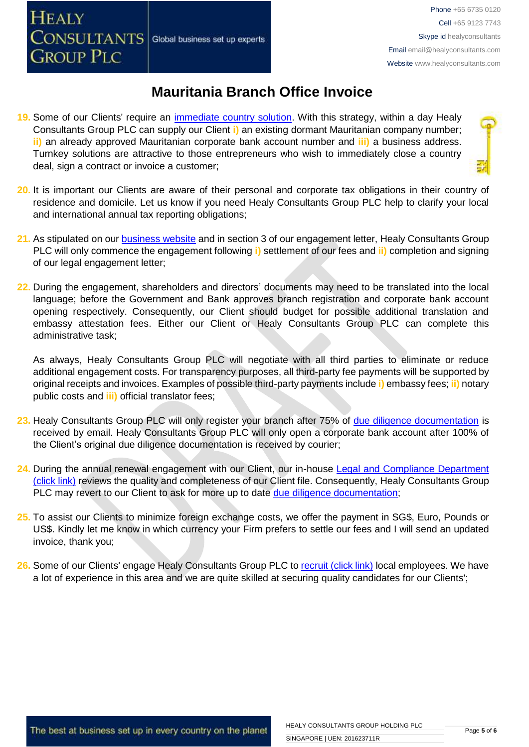- **19.** Some of our Clients' require an [immediate country solution.](http://www.healyconsultants.com/turnkey-solutions/) With this strategy, within a day Healy Consultants Group PLC can supply our Client **i)** an existing dormant Mauritanian company number; **ii)** an already approved Mauritanian corporate bank account number and **iii)** a business address. Turnkey solutions are attractive to those entrepreneurs who wish to immediately close a country deal, sign a contract or invoice a customer;
- **20.** It is important our Clients are aware of their personal and corporate tax obligations in their country of residence and domicile. Let us know if you need Healy Consultants Group PLC help to clarify your local and international annual tax reporting obligations;
- **21.** As stipulated on our [business website](http://www.healyconsultants.com/) and in section 3 of our engagement letter, Healy Consultants Group PLC will only commence the engagement following **i)** settlement of our fees and **ii)** completion and signing of our legal engagement letter;
- **22.** During the engagement, shareholders and directors' documents may need to be translated into the local language; before the Government and Bank approves branch registration and corporate bank account opening respectively. Consequently, our Client should budget for possible additional translation and embassy attestation fees. Either our Client or Healy Consultants Group PLC can complete this administrative task;

As always, Healy Consultants Group PLC will negotiate with all third parties to eliminate or reduce additional engagement costs. For transparency purposes, all third-party fee payments will be supported by original receipts and invoices. Examples of possible third-party payments include **i)** embassy fees; **ii)** notary public costs and **iii)** official translator fees;

- **23.** Healy Consultants Group PLC will only register your branch after 75% of [due diligence documentation](http://www.healyconsultants.com/due-diligence/) is received by email. Healy Consultants Group PLC will only open a corporate bank account after 100% of the Client's original due diligence documentation is received by courier;
- 24. During the annual renewal engagement with our Client, our in-house Legal and Compliance Department [\(click link\)](http://www.healyconsultants.com/about-us/key-personnel/cai-xin-profile/) reviews the quality and completeness of our Client file. Consequently, Healy Consultants Group PLC may revert to our Client to ask for more up to date [due diligence documentation;](http://www.healyconsultants.com/due-diligence/)
- **25.** To assist our Clients to minimize foreign exchange costs, we offer the payment in SG\$, Euro, Pounds or US\$. Kindly let me know in which currency your Firm prefers to settle our fees and I will send an updated invoice, thank you;
- 26. Some of our Clients' engage Healy Consultants Group PLC t[o recruit \(click link\)](http://www.healyconsultants.com/corporate-outsourcing-services/how-we-help-our-clients-recruit-quality-employees/) local employees. We have a lot of experience in this area and we are quite skilled at securing quality candidates for our Clients';